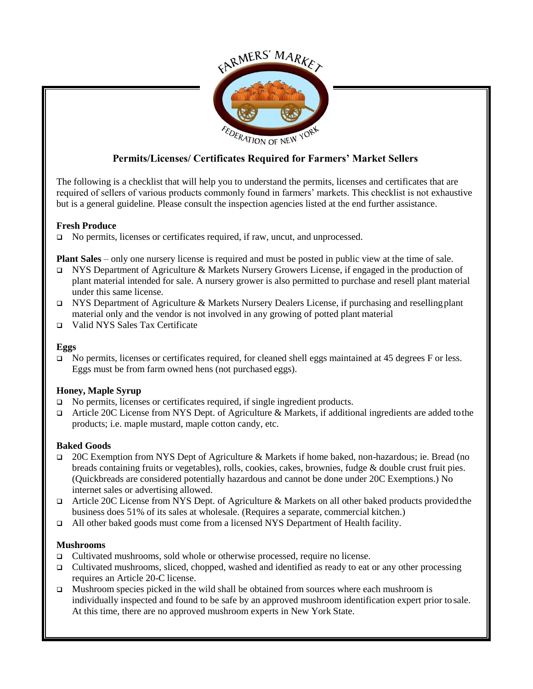

# **Permits/Licenses/ Certificates Required for Farmers' Market Sellers**

The following is a checklist that will help you to understand the permits, licenses and certificates that are required of sellers of various products commonly found in farmers' markets. This checklist is not exhaustive but is a general guideline. Please consult the inspection agencies listed at the end further assistance.

### **Fresh Produce**

No permits, licenses or certificates required, if raw, uncut, and unprocessed.

**Plant Sales** – only one nursery license is required and must be posted in public view at the time of sale.

- $\Box$  NYS Department of Agriculture & Markets Nursery Growers License, if engaged in the production of plant material intended for sale. A nursery grower is also permitted to purchase and resell plant material under this same license.
- NYS Department of Agriculture & Markets Nursery Dealers License, if purchasing and resellingplant material only and the vendor is not involved in any growing of potted plant material
- Valid NYS Sales Tax Certificate

### **Eggs**

□ No permits, licenses or certificates required, for cleaned shell eggs maintained at 45 degrees F or less. Eggs must be from farm owned hens (not purchased eggs).

# **Honey, Maple Syrup**

- □ No permits, licenses or certificates required, if single ingredient products.
- $\Box$  Article 20C License from NYS Dept. of Agriculture & Markets, if additional ingredients are added to the products; i.e. maple mustard, maple cotton candy, etc.

# **Baked Goods**

- 20C Exemption from NYS Dept of Agriculture & Markets if home baked, non-hazardous; ie. Bread (no breads containing fruits or vegetables), rolls, cookies, cakes, brownies, fudge & double crust fruit pies. (Quickbreads are considered potentially hazardous and cannot be done under 20C Exemptions.) No internet sales or advertising allowed.
- Article 20C License from NYS Dept. of Agriculture & Markets on all other baked products provided the business does 51% of its sales at wholesale. (Requires a separate, commercial kitchen.)
- All other baked goods must come from a licensed NYS Department of Health facility.

### **Mushrooms**

- Cultivated mushrooms, sold whole or otherwise processed, require no license.
- $\Box$  Cultivated mushrooms, sliced, chopped, washed and identified as ready to eat or any other processing requires an Article 20-C license.
- $\Box$  Mushroom species picked in the wild shall be obtained from sources where each mushroom is individually inspected and found to be safe by an approved mushroom identification expert prior to sale. At this time, there are no approved mushroom experts in New York State.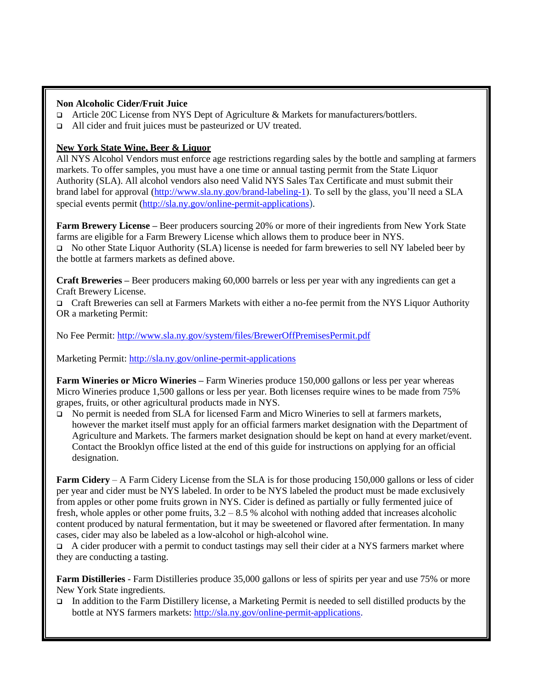#### **Non Alcoholic Cider/Fruit Juice**

- Article 20C License from NYS Dept of Agriculture & Markets for manufacturers/bottlers.
- □ All cider and fruit juices must be pasteurized or UV treated.

## **New York State Wine, Beer & Liquor**

All NYS Alcohol Vendors must enforce age restrictions regarding sales by the bottle and sampling at farmers markets. To offer samples, you must have a one time or annual tasting permit from the State Liquor Authority (SLA). All alcohol vendors also need Valid NYS Sales Tax Certificate and must submit their brand label for approval [\(http://www.sla.ny.gov/brand-labeling-1\)](http://www.sla.ny.gov/brand-labeling-1). To sell by the glass, you'll need a SLA special events permit [\(http://sla.ny.gov/online-permit-applications](http://sla.ny.gov/online-permit-applications)).

**Farm Brewery License –** Beer producers sourcing 20% or more of their ingredients from New York State farms are eligible for a Farm Brewery License which allows them to produce beer in NYS.

 No other State Liquor Authority (SLA) license is needed for farm breweries to sell NY labeled beer by the bottle at farmers markets as defined above.

**Craft Breweries –** Beer producers making 60,000 barrels or less per year with any ingredients can get a Craft Brewery License.

 Craft Breweries can sell at Farmers Markets with either a no-fee permit from the NYS Liquor Authority OR a marketing Permit:

No Fee Permit[: http://www.sla.ny.gov/system/files/BrewerOffPremisesPermit.pdf](http://www.sla.ny.gov/system/files/BrewerOffPremisesPermit.pdf)

Marketing Permit:<http://sla.ny.gov/online-permit-applications>

**Farm Wineries or Micro Wineries –** Farm Wineries produce 150,000 gallons or less per year whereas Micro Wineries produce 1,500 gallons or less per year. Both licenses require wines to be made from 75% grapes, fruits, or other agricultural products made in NYS.

 No permit is needed from SLA for licensed Farm and Micro Wineries to sell at farmers markets, however the market itself must apply for an official farmers market designation with the Department of Agriculture and Markets. The farmers market designation should be kept on hand at every market/event. Contact the Brooklyn office listed at the end of this guide for instructions on applying for an official designation.

**Farm Cidery** – A Farm Cidery License from the SLA is for those producing 150,000 gallons or less of cider per year and cider must be NYS labeled. In order to be NYS labeled the product must be made exclusively from apples or other pome fruits grown in NYS. Cider is defined as partially or fully fermented juice of fresh, whole apples or other pome fruits,  $3.2 - 8.5$  % alcohol with nothing added that increases alcoholic content produced by natural fermentation, but it may be sweetened or flavored after fermentation. In many cases, cider may also be labeled as a low-alcohol or high-alcohol wine.

 $\Box$  A cider producer with a permit to conduct tastings may sell their cider at a NYS farmers market where they are conducting a tasting.

**Farm Distilleries** - Farm Distilleries produce 35,000 gallons or less of spirits per year and use 75% or more New York State ingredients.

In addition to the Farm Distillery license, a Marketing Permit is needed to sell distilled products by the bottle at NYS farmers markets: [http://sla.ny.gov/online-permit-applications.](http://sla.ny.gov/online-permit-applications)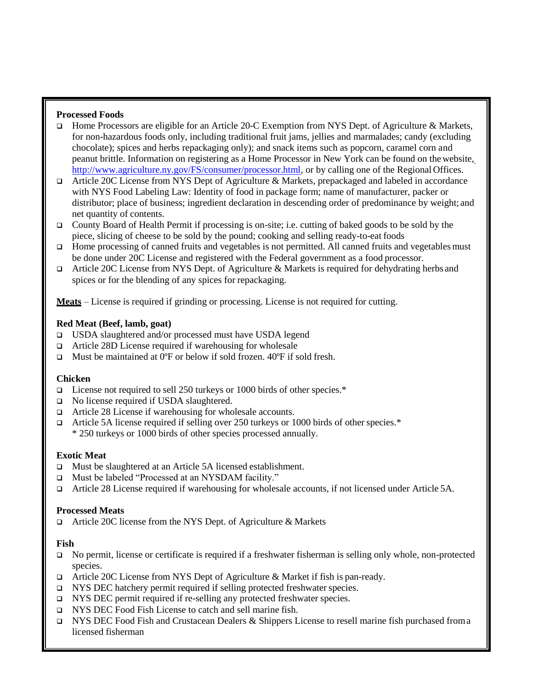### **Processed Foods**

- Home Processors are eligible for an Article 20-C Exemption from NYS Dept. of Agriculture & Markets, for non-hazardous foods only, including traditional fruit jams, jellies and marmalades; candy (excluding chocolate); spices and herbs repackaging only); and snack items such as popcorn, caramel corn and peanut brittle. Information on registering as a Home Processor in New York can be found on thewebsite, [http://www.agriculture.ny.gov/FS/consumer/processor.html, o](http://www.agriculture.ny.gov/FS/consumer/processor.html)r by calling one of the Regional Offices.
- $\Box$  Article 20C License from NYS Dept of Agriculture & Markets, prepackaged and labeled in accordance with NYS Food Labeling Law: Identity of food in package form; name of manufacturer, packer or distributor; place of business; ingredient declaration in descending order of predominance by weight; and net quantity of contents.
- □ County Board of Health Permit if processing is on-site; i.e. cutting of baked goods to be sold by the piece, slicing of cheese to be sold by the pound; cooking and selling ready-to-eat foods
- Home processing of canned fruits and vegetables is not permitted. All canned fruits and vegetablesmust be done under 20C License and registered with the Federal government as a food processor.
- $\Box$  Article 20C License from NYS Dept. of Agriculture & Markets is required for dehydrating herbs and spices or for the blending of any spices for repackaging.

**Meats** – License is required if grinding or processing. License is not required for cutting.

### **Red Meat (Beef, lamb, goat)**

- USDA slaughtered and/or processed must have USDA legend
- Article 28D License required if warehousing for wholesale
- $\Box$  Must be maintained at 0°F or below if sold frozen. 40°F if sold fresh.

#### **Chicken**

- $\Box$  License not required to sell 250 turkeys or 1000 birds of other species.\*
- □ No license required if USDA slaughtered.
- Article 28 License if warehousing for wholesale accounts.
- Article 5A license required if selling over 250 turkeys or 1000 birds of other species. $*$ \* 250 turkeys or 1000 birds of other species processed annually.

### **Exotic Meat**

- □ Must be slaughtered at an Article 5A licensed establishment.
- Must be labeled "Processed at an NYSDAM facility."
- Article 28 License required if warehousing for wholesale accounts, if not licensed under Article 5A.

#### **Processed Meats**

Article 20C license from the NYS Dept. of Agriculture & Markets

### **Fish**

- □ No permit, license or certificate is required if a freshwater fisherman is selling only whole, non-protected species.
- Article 20C License from NYS Dept of Agriculture & Market if fish is pan-ready.
- □ NYS DEC hatchery permit required if selling protected freshwater species.
- NYS DEC permit required if re-selling any protected freshwater species.
- NYS DEC Food Fish License to catch and sell marine fish.
- $NYS$  DEC Food Fish and Crustacean Dealers & Shippers License to resell marine fish purchased from a licensed fisherman